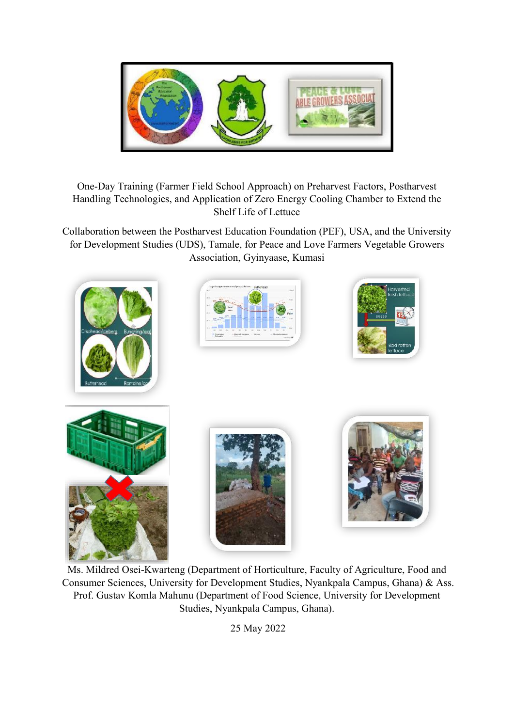

# One-Day Training (Farmer Field School Approach) on Preharvest Factors, Postharvest Handling Technologies, and Application of Zero Energy Cooling Chamber to Extend the Shelf Life of Lettuce

Collaboration between the Postharvest Education Foundation (PEF), USA, and the University for Development Studies (UDS), Tamale, for Peace and Love Farmers Vegetable Growers Association, Gyinyaase, Kumasi



Ms. Mildred Osei-Kwarteng (Department of Horticulture, Faculty of Agriculture, Food and Consumer Sciences, University for Development Studies, Nyankpala Campus, Ghana) & Ass. Prof. Gustav Komla Mahunu (Department of Food Science, University for Development Studies, Nyankpala Campus, Ghana).

25 May 2022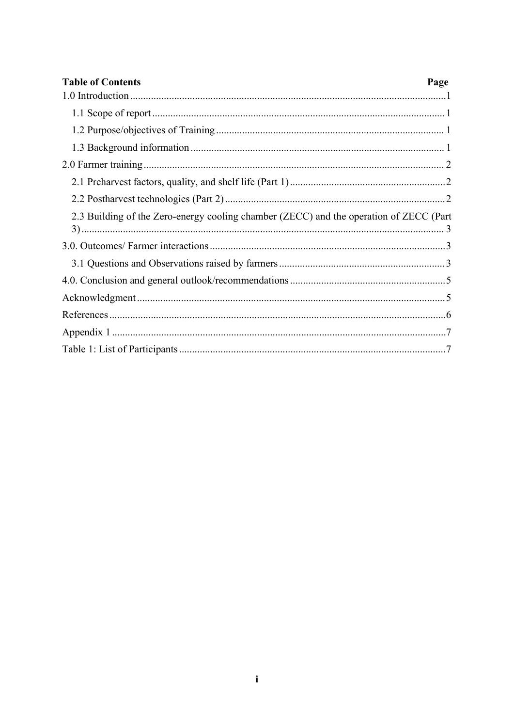| <b>Table of Contents</b><br>Page                                                       |  |
|----------------------------------------------------------------------------------------|--|
|                                                                                        |  |
|                                                                                        |  |
|                                                                                        |  |
|                                                                                        |  |
|                                                                                        |  |
|                                                                                        |  |
|                                                                                        |  |
| 2.3 Building of the Zero-energy cooling chamber (ZECC) and the operation of ZECC (Part |  |
|                                                                                        |  |
|                                                                                        |  |
|                                                                                        |  |
|                                                                                        |  |
|                                                                                        |  |
|                                                                                        |  |
|                                                                                        |  |
|                                                                                        |  |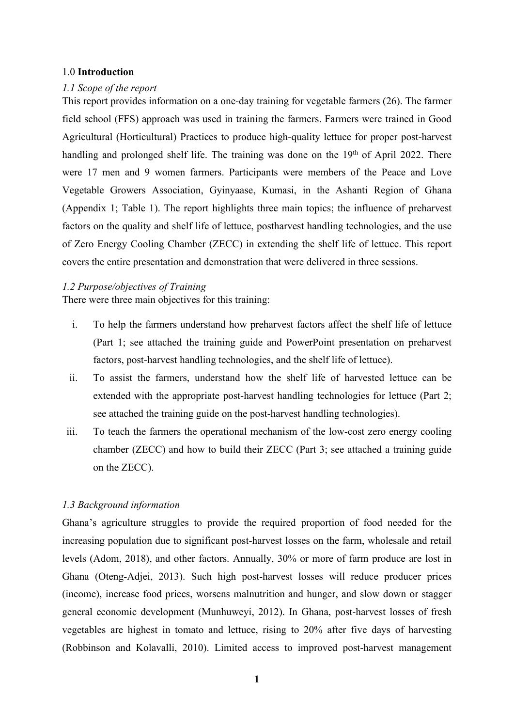### <span id="page-2-0"></span>1.0 **Introduction**

#### <span id="page-2-1"></span>*1.1 Scope of the report*

This report provides information on a one-day training for vegetable farmers (26). The farmer field school (FFS) approach was used in training the farmers. Farmers were trained in Good Agricultural (Horticultural) Practices to produce high-quality lettuce for proper post-harvest handling and prolonged shelf life. The training was done on the 19<sup>th</sup> of April 2022. There were 17 men and 9 women farmers. Participants were members of the Peace and Love Vegetable Growers Association, Gyinyaase, Kumasi, in the Ashanti Region of Ghana (Appendix 1; Table 1). The report highlights three main topics; the influence of preharvest factors on the quality and shelf life of lettuce, postharvest handling technologies, and the use of Zero Energy Cooling Chamber (ZECC) in extending the shelf life of lettuce. This report covers the entire presentation and demonstration that were delivered in three sessions.

#### <span id="page-2-2"></span>*1.2 Purpose/objectives of Training*

There were three main objectives for this training:

- i. To help the farmers understand how preharvest factors affect the shelf life of lettuce (Part 1; see attached the training guide and PowerPoint presentation on preharvest factors, post-harvest handling technologies, and the shelf life of lettuce).
- ii. To assist the farmers, understand how the shelf life of harvested lettuce can be extended with the appropriate post-harvest handling technologies for lettuce (Part 2; see attached the training guide on the post-harvest handling technologies).
- iii. To teach the farmers the operational mechanism of the low-cost zero energy cooling chamber (ZECC) and how to build their ZECC (Part 3; see attached a training guide on the ZECC).

### <span id="page-2-3"></span>*1.3 Background information*

Ghana's agriculture struggles to provide the required proportion of food needed for the increasing population due to significant post-harvest losses on the farm, wholesale and retail levels (Adom, 2018), and other factors. Annually, 30% or more of farm produce are lost in Ghana (Oteng-Adjei, 2013). Such high post-harvest losses will reduce producer prices (income), increase food prices, worsens malnutrition and hunger, and slow down or stagger general economic development (Munhuweyi, 2012). In Ghana, post-harvest losses of fresh vegetables are highest in tomato and lettuce, rising to 20% after five days of harvesting (Robbinson and Kolavalli, 2010). Limited access to improved post-harvest management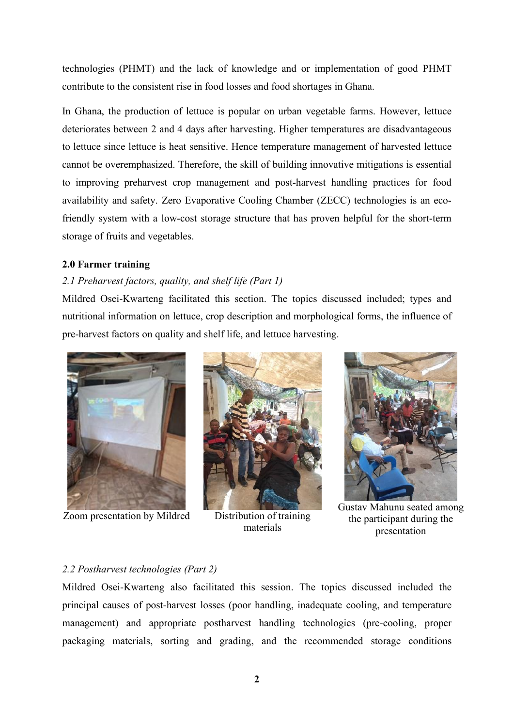technologies (PHMT) and the lack of knowledge and or implementation of good PHMT contribute to the consistent rise in food losses and food shortages in Ghana.

In Ghana, the production of lettuce is popular on urban vegetable farms. However, lettuce deteriorates between 2 and 4 days after harvesting. Higher temperatures are disadvantageous to lettuce since lettuce is heat sensitive. Hence temperature management of harvested lettuce cannot be overemphasized. Therefore, the skill of building innovative mitigations is essential to improving preharvest crop management and post-harvest handling practices for food availability and safety. Zero Evaporative Cooling Chamber (ZECC) technologies is an ecofriendly system with a low-cost storage structure that has proven helpful for the short-term storage of fruits and vegetables.

### <span id="page-3-0"></span>**2.0 Farmer training**

### <span id="page-3-1"></span>*2.1 Preharvest factors, quality, and shelf life (Part 1)*

Mildred Osei-Kwarteng facilitated this section. The topics discussed included; types and nutritional information on lettuce, crop description and morphological forms, the influence of pre-harvest factors on quality and shelf life, and lettuce harvesting.



Zoom presentation by Mildred Distribution of training



materials



Gustav Mahunu seated among the participant during the presentation

#### <span id="page-3-2"></span>*2.2 Postharvest technologies (Part 2)*

Mildred Osei-Kwarteng also facilitated this session. The topics discussed included the principal causes of post-harvest losses (poor handling, inadequate cooling, and temperature management) and appropriate postharvest handling technologies (pre-cooling, proper packaging materials, sorting and grading, and the recommended storage conditions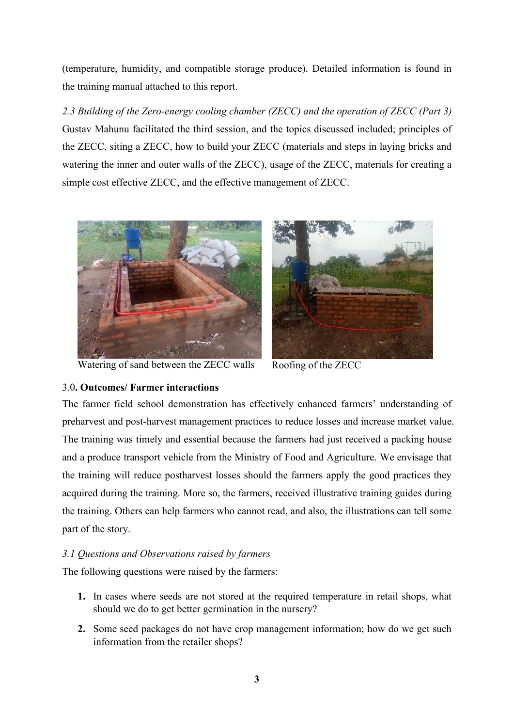(temperature, humidity, and compatible storage produce). Detailed information is found in the training manual attached to this report.

<span id="page-4-0"></span>*2.3 Building of the Zero-energy cooling chamber (ZECC) and the operation of ZECC (Part 3)* Gustav Mahunu facilitated the third session, and the topics discussed included; principles of the ZECC, siting a ZECC, how to build your ZECC (materials and steps in laying bricks and watering the inner and outer walls of the ZECC), usage of the ZECC, materials for creating a simple cost effective ZECC, and the effective management of ZECC.



Watering of sand between the ZECC walls Roofing of the ZECC



## <span id="page-4-1"></span>3.0**. Outcomes/ Farmer interactions**

The farmer field school demonstration has effectively enhanced farmers' understanding of preharvest and post-harvest management practices to reduce losses and increase market value. The training was timely and essential because the farmers had just received a packing house and a produce transport vehicle from the Ministry of Food and Agriculture. We envisage that the training will reduce postharvest losses should the farmers apply the good practices they acquired during the training. More so, the farmers, received illustrative training guides during the training. Others can help farmers who cannot read, and also, the illustrations can tell some part of the story.

# <span id="page-4-2"></span>*3.1 Questions and Observations raised by farmers*

The following questions were raised by the farmers:

- **1.** In cases where seeds are not stored at the required temperature in retail shops, what should we do to get better germination in the nursery?
- **2.** Some seed packages do not have crop management information; how do we get such information from the retailer shops?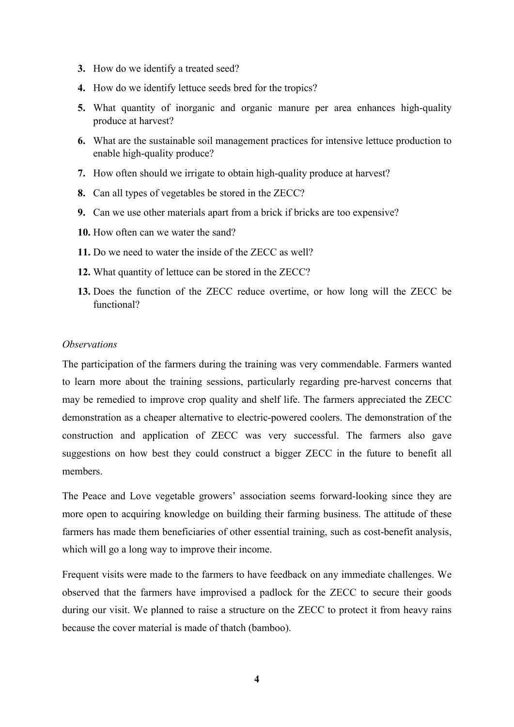- **3.** How do we identify a treated seed?
- **4.** How do we identify lettuce seeds bred for the tropics?
- **5.** What quantity of inorganic and organic manure per area enhances high-quality produce at harvest?
- **6.** What are the sustainable soil management practices for intensive lettuce production to enable high-quality produce?
- **7.** How often should we irrigate to obtain high-quality produce at harvest?
- **8.** Can all types of vegetables be stored in the ZECC?
- **9.** Can we use other materials apart from a brick if bricks are too expensive?
- **10.** How often can we water the sand?
- **11.** Do we need to water the inside of the ZECC as well?
- **12.** What quantity of lettuce can be stored in the ZECC?
- **13.** Does the function of the ZECC reduce overtime, or how long will the ZECC be functional?

### *Observations*

The participation of the farmers during the training was very commendable. Farmers wanted to learn more about the training sessions, particularly regarding pre-harvest concerns that may be remedied to improve crop quality and shelf life. The farmers appreciated the ZECC demonstration as a cheaper alternative to electric-powered coolers. The demonstration of the construction and application of ZECC was very successful. The farmers also gave suggestions on how best they could construct a bigger ZECC in the future to benefit all members.

The Peace and Love vegetable growers' association seems forward-looking since they are more open to acquiring knowledge on building their farming business. The attitude of these farmers has made them beneficiaries of other essential training, such as cost-benefit analysis, which will go a long way to improve their income.

Frequent visits were made to the farmers to have feedback on any immediate challenges. We observed that the farmers have improvised a padlock for the ZECC to secure their goods during our visit. We planned to raise a structure on the ZECC to protect it from heavy rains because the cover material is made of thatch (bamboo).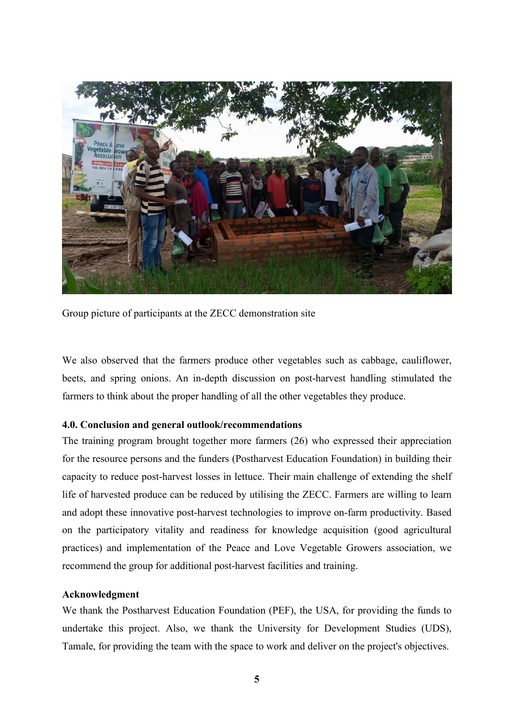

Group picture of participants at the ZECC demonstration site

We also observed that the farmers produce other vegetables such as cabbage, cauliflower, beets, and spring onions. An in-depth discussion on post-harvest handling stimulated the farmers to think about the proper handling of all the other vegetables they produce.

### <span id="page-6-0"></span>**4.0. Conclusion and generaloutlook/recommendations**

The training program brought together more farmers (26) who expressed their appreciation for the resource persons and the funders (Postharvest Education Foundation) in building their capacity to reduce post-harvest losses in lettuce. Their main challenge of extending the shelf life of harvested produce can be reduced by utilising the ZECC. Farmers are willing to learn and adopt these innovative post-harvest technologies to improve on-farm productivity. Based on the participatory vitality and readiness for knowledge acquisition (good agricultural practices) and implementation of the Peace and Love Vegetable Growers association, we recommend the group for additional post-harvest facilities and training.

### <span id="page-6-1"></span>**Acknowledgment**

We thank the Postharvest Education Foundation (PEF), the USA, for providing the funds to undertake this project. Also, we thank the University for Development Studies (UDS), Tamale, for providing the team with the space to work and deliver on the project's objectives.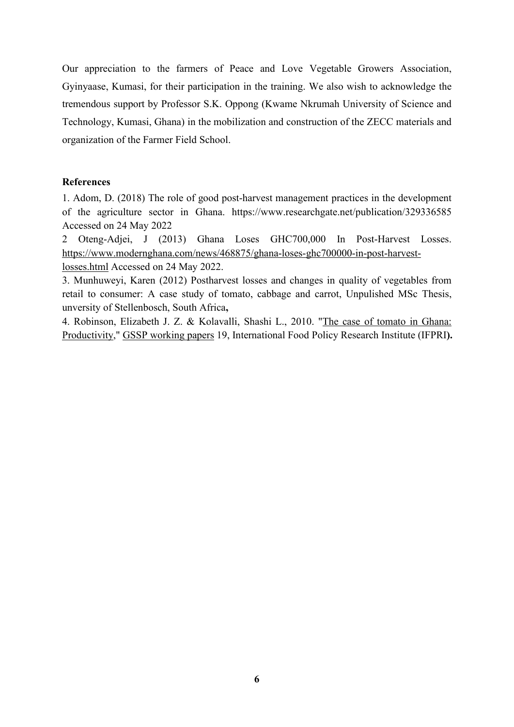Our appreciation to the farmers of Peace and Love Vegetable Growers Association, Gyinyaase, Kumasi, for their participation in the training.We also wish to acknowledge the tremendous support by Professor S.K. Oppong (Kwame Nkrumah University of Science and Technology, Kumasi, Ghana) in the mobilization and construction of the ZECC materials and organization of the Farmer Field School.

### <span id="page-7-0"></span>**References**

1. Adom, D. (2018) The role of good post-harvest management practices in the development of the agriculture sector in Ghana. https://www.researchgate.net/publication/329336585 Accessed on 24 May 2022

2 Oteng-Adjei, J (2013) Ghana Loses GHC700,000 In Post-Harvest Losses. [https://www.modernghana.com/news/468875/ghana-loses-ghc700000-in-post-harvest](https://www.modernghana.com/news/468875/ghana-loses-ghc700000-in-post-harvest-losses.html)losses.html Accessed on 24 May 2022.

3. Munhuweyi, Karen (2012) Postharvest losses and changes in quality of vegetables from retail to consumer: A case study of tomato, cabbage and carrot, Unpulished MSc Thesis, unversity of Stellenbosch, South Africa**,**

4. Robinson, Elizabeth J. Z. & Kolavalli, Shashi L., 2010. "The case of tomato in [Ghana:](https://ideas.repec.org/p/fpr/gsspwp/19.html) Productivity," GSSP [working](https://ideas.repec.org/s/fpr/gsspwp.html) papers 19, International Food Policy Research Institute (IFPRI**).**